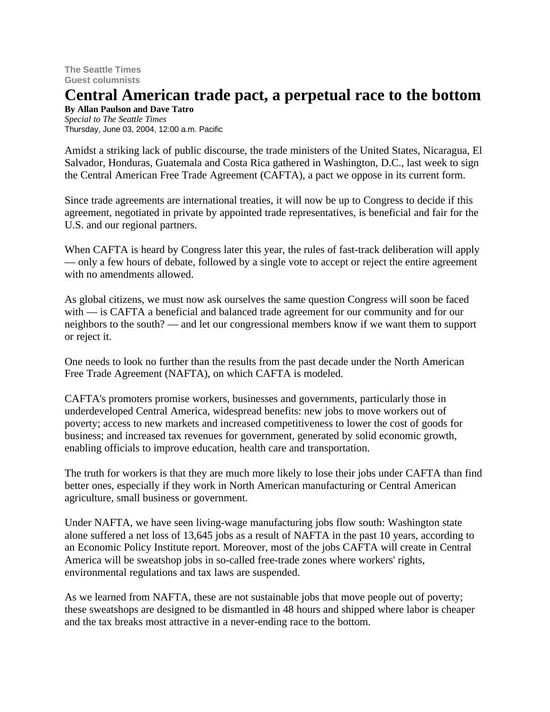**The Seattle Times Guest columnists**

## **Central American trade pact, a perpetual race to the bottom**

**By Allan Paulson and Dave Tatro** *Special to The Seattle Times* Thursday, June 03, 2004, 12:00 a.m. Pacific

Amidst a striking lack of public discourse, the trade ministers of the United States, Nicaragua, El Salvador, Honduras, Guatemala and Costa Rica gathered in Washington, D.C., last week to sign the Central American Free Trade Agreement (CAFTA), a pact we oppose in its current form.

Since trade agreements are international treaties, it will now be up to Congress to decide if this agreement, negotiated in private by appointed trade representatives, is beneficial and fair for the U.S. and our regional partners.

When CAFTA is heard by Congress later this year, the rules of fast-track deliberation will apply — only a few hours of debate, followed by a single vote to accept or reject the entire agreement with no amendments allowed.

As global citizens, we must now ask ourselves the same question Congress will soon be faced with — is CAFTA a beneficial and balanced trade agreement for our community and for our neighbors to the south? — and let our congressional members know if we want them to support or reject it.

One needs to look no further than the results from the past decade under the North American Free Trade Agreement (NAFTA), on which CAFTA is modeled.

CAFTA's promoters promise workers, businesses and governments, particularly those in underdeveloped Central America, widespread benefits: new jobs to move workers out of poverty; access to new markets and increased competitiveness to lower the cost of goods for business; and increased tax revenues for government, generated by solid economic growth, enabling officials to improve education, health care and transportation.

The truth for workers is that they are much more likely to lose their jobs under CAFTA than find better ones, especially if they work in North American manufacturing or Central American agriculture, small business or government.

Under NAFTA, we have seen living-wage manufacturing jobs flow south: Washington state alone suffered a net loss of 13,645 jobs as a result of NAFTA in the past 10 years, according to an Economic Policy Institute report. Moreover, most of the jobs CAFTA will create in Central America will be sweatshop jobs in so-called free-trade zones where workers' rights, environmental regulations and tax laws are suspended.

As we learned from NAFTA, these are not sustainable jobs that move people out of poverty; these sweatshops are designed to be dismantled in 48 hours and shipped where labor is cheaper and the tax breaks most attractive in a never-ending race to the bottom.